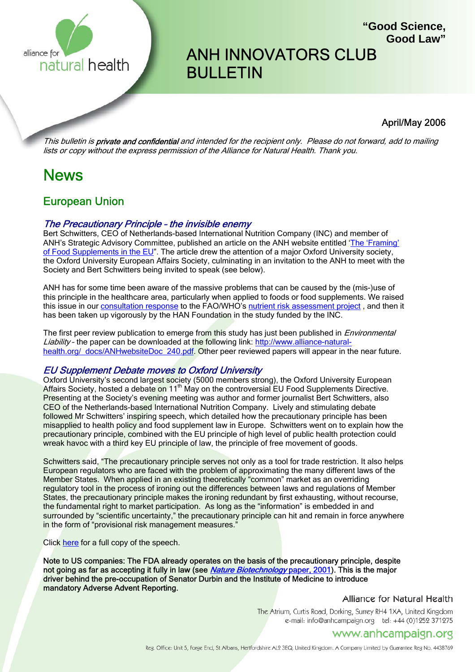

# ANH INNOVATORS CLUB BULLETIN

### April/May 2006

**"Good Science,**

**Good Law"**

This bulletin is **private and confidential** and intended for the recipient only. Please do not forward, add to mailing lists or copy without the express permission of the Alliance for Natural Health. Thank you.

## News

### European Union

#### The Precautionary Principle – the invisible enemy

Bert Schwitters, CEO of Netherlands-based International Nutrition Company (INC) and member of ANH's Strategic Advisory Committee, published an article on the ANH website entitled 'The 'Framing' of Food Supplements in the EU". The article drew the attention of a major Oxford University society, the Oxford University European Affairs Society, culminating in an invitation to the ANH to meet with the Society and Bert Schwitters being invited to speak (see below).

ANH has for some time been aware of the massive problems that can be caused by the (mis-)use of this principle in the healthcare area, particularly when applied to foods or food supplements. We raised this issue in our consultation response to the FAO/WHO's nutrient risk assessment project, and then it has been taken up vigorously by the HAN Foundation in the study funded by the INC.

The first peer review publication to emerge from this study has just been published in *Environmental* Liability - the paper can be downloaded at the following link: http://www.alliance-naturalhealth.org/\_docs/ANHwebsiteDoc\_240.pdf. Other peer reviewed papers will appear in the near future.

#### EU Supplement Debate moves to Oxford University

Oxford University's second largest society (5000 members strong), the Oxford University European Affairs Society, hosted a debate on 11th May on the controversial EU Food Supplements Directive. Presenting at the Society's evening meeting was author and former journalist Bert Schwitters, also CEO of the Netherlands-based International Nutrition Company. Lively and stimulating debate followed Mr Schwitters' inspiring speech, which detailed how the precautionary principle has been misapplied to health policy and food supplement law in Europe. Schwitters went on to explain how the precautionary principle, combined with the EU principle of high level of public health protection could wreak havoc with a third key EU principle of law, the principle of free movement of goods.

Schwitters said, "The precautionary principle serves not only as a tool for trade restriction. It also helps European regulators who are faced with the problem of approximating the many different laws of the Member States. When applied in an existing theoretically "common" market as an overriding regulatory tool in the process of ironing out the differences between laws and regulations of Member States, the precautionary principle makes the ironing redundant by first exhausting, without recourse, the fundamental right to market participation. As long as the "information" is embedded in and surrounded by "scientific uncertainty," the precautionary principle can hit and remain in force anywhere in the form of "provisional risk management measures."

Click here for a full copy of the speech.

Note to US companies: The FDA already operates on the basis of the precautionary principle, despite not going as far as accepting it fully in law (see *Nature Biotechnology* paper, 2001). This is the major driver behind the pre-occupation of Senator Durbin and the Institute of Medicine to introduce mandatory Adverse Advent Reporting.

#### Alliance for Natural Health

The Atrium, Curtis Road, Dorking, Surrey RH4 1XA, United Kingdom e-mail: info@anhcampaign.org tel: +44 (0)1252 371275

### www.anhcampaign.org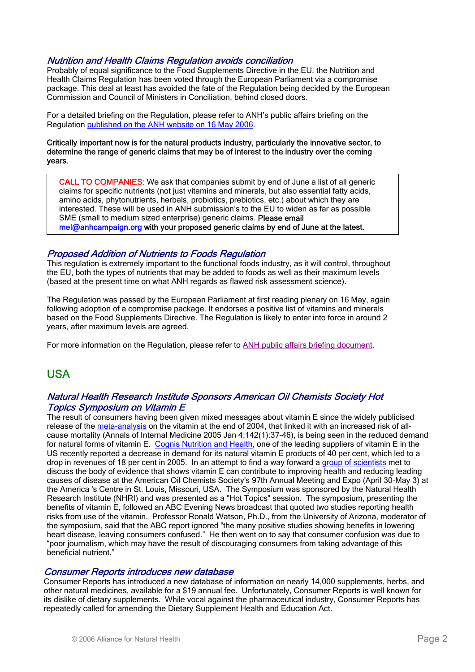#### Nutrition and Health Claims Regulation avoids conciliation

Probably of equal significance to the Food Supplements Directive in the EU, the Nutrition and Health Claims Regulation has been voted through the European Parliament via a compromise package. This deal at least has avoided the fate of the Regulation being decided by the European Commission and Council of Ministers in Conciliation, behind closed doors.

For a detailed briefing on the Regulation, please refer to ANH's public affairs briefing on the Regulation published on the ANH website on 16 May 2006.

#### Critically important now is for the natural products industry, particularly the innovative sector, to determine the range of generic claims that may be of interest to the industry over the coming years.

CALL TO COMPANIES: We ask that companies submit by end of June a list of all generic claims for specific nutrients (not just vitamins and minerals, but also essential fatty acids, amino acids, phytonutrients, herbals, probiotics, prebiotics, etc.) about which they are interested. These will be used in ANH submission's to the EU to widen as far as possible SME (small to medium sized enterprise) generic claims. Please email mel@anhcampaign.org with your proposed generic claims by end of June at the latest.

#### Proposed Addition of Nutrients to Foods Regulation

This regulation is extremely important to the functional foods industry, as it will control, throughout the EU, both the types of nutrients that may be added to foods as well as their maximum levels (based at the present time on what ANH regards as flawed risk assessment science).

The Regulation was passed by the European Parliament at first reading plenary on 16 May, again following adoption of a compromise package. It endorses a positive list of vitamins and minerals based on the Food Supplements Directive. The Regulation is likely to enter into force in around 2 years, after maximum levels are agreed.

For more information on the Regulation, please refer to ANH public affairs briefing document.

### USA

#### Natural Health Research Institute Sponsors American Oil Chemists Society Hot Topics Symposium on Vitamin E

The result of consumers having been given mixed messages about vitamin E since the widely publicised release of the meta-analysis on the vitamin at the end of 2004, that linked it with an increased risk of allcause mortality (Annals of Internal Medicine 2005 Jan 4;142(1):37-46), is being seen in the reduced demand for natural forms of vitamin E. Cognis Nutrition and Health, one of the leading suppliers of vitamin E in the US recently reported a decrease in demand for its natural vitamin E products of 40 per cent, which led to a drop in revenues of 18 per cent in 2005. In an attempt to find a way forward a group of scientists met to discuss the body of evidence that shows vitamin E can contribute to improving health and reducing leading causes of disease at the American Oil Chemists Society's 97th Annual Meeting and Expo (April 30-May 3) at the America 's Centre in St. Louis, Missouri, USA. The Symposium was sponsored by the Natural Health Research Institute (NHRI) and was presented as a "Hot Topics" session. The symposium, presenting the benefits of vitamin E, followed an ABC Evening News broadcast that quoted two studies reporting health risks from use of the vitamin. Professor Ronald Watson, Ph.D., from the University of Arizona, moderator of the symposium, said that the ABC report ignored "the many positive studies showing benefits in lowering heart disease, leaving consumers confused." He then went on to say that consumer confusion was due to "poor journalism, which may have the result of discouraging consumers from taking advantage of this beneficial nutrient."

#### Consumer Reports introduces new database

Consumer Reports has introduced a new database of information on nearly 14,000 supplements, herbs, and other natural medicines, available for a \$19 annual fee. Unfortunately, Consumer Reports is well known for its dislike of dietary supplements. While vocal against the pharmaceutical industry, Consumer Reports has repeatedly called for amending the Dietary Supplement Health and Education Act.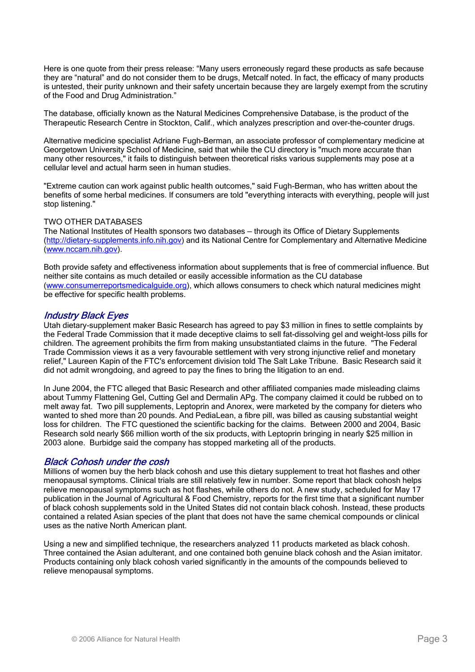Here is one quote from their press release: "Many users erroneously regard these products as safe because they are "natural" and do not consider them to be drugs, Metcalf noted. In fact, the efficacy of many products is untested, their purity unknown and their safety uncertain because they are largely exempt from the scrutiny of the Food and Drug Administration."

The database, officially known as the Natural Medicines Comprehensive Database, is the product of the Therapeutic Research Centre in Stockton, Calif., which analyzes prescription and over-the-counter drugs.

Alternative medicine specialist Adriane Fugh-Berman, an associate professor of complementary medicine at Georgetown University School of Medicine, said that while the CU directory is "much more accurate than many other resources," it fails to distinguish between theoretical risks various supplements may pose at a cellular level and actual harm seen in human studies.

"Extreme caution can work against public health outcomes," said Fugh-Berman, who has written about the benefits of some herbal medicines. If consumers are told "everything interacts with everything, people will just stop listening."

#### TWO OTHER DATABASES

The National Institutes of Health sponsors two databases — through its Office of Dietary Supplements (http://dietary-supplements.info.nih.gov) and its National Centre for Complementary and Alternative Medicine (www.nccam.nih.gov).

Both provide safety and effectiveness information about supplements that is free of commercial influence. But neither site contains as much detailed or easily accessible information as the CU database (www.consumerreportsmedicalguide.org), which allows consumers to check which natural medicines might be effective for specific health problems.

#### Industry Black Eyes

Utah dietary-supplement maker Basic Research has agreed to pay \$3 million in fines to settle complaints by the Federal Trade Commission that it made deceptive claims to sell fat-dissolving gel and weight-loss pills for children. The agreement prohibits the firm from making unsubstantiated claims in the future. "The Federal Trade Commission views it as a very favourable settlement with very strong injunctive relief and monetary relief," Laureen Kapin of the FTC's enforcement division told The Salt Lake Tribune. Basic Research said it did not admit wrongdoing, and agreed to pay the fines to bring the litigation to an end.

In June 2004, the FTC alleged that Basic Research and other affiliated companies made misleading claims about Tummy Flattening Gel, Cutting Gel and Dermalin APg. The company claimed it could be rubbed on to melt away fat. Two pill supplements, Leptoprin and Anorex, were marketed by the company for dieters who wanted to shed more than 20 pounds. And PediaLean, a fibre pill, was billed as causing substantial weight loss for children. The FTC questioned the scientific backing for the claims. Between 2000 and 2004, Basic Research sold nearly \$66 million worth of the six products, with Leptoprin bringing in nearly \$25 million in 2003 alone. Burbidge said the company has stopped marketing all of the products.

#### Black Cohosh under the cosh

Millions of women buy the herb black cohosh and use this dietary supplement to treat hot flashes and other menopausal symptoms. Clinical trials are still relatively few in number. Some report that black cohosh helps relieve menopausal symptoms such as hot flashes, while others do not. A new study, scheduled for May 17 publication in the Journal of Agricultural & Food Chemistry, reports for the first time that a significant number of black cohosh supplements sold in the United States did not contain black cohosh. Instead, these products contained a related Asian species of the plant that does not have the same chemical compounds or clinical uses as the native North American plant.

Using a new and simplified technique, the researchers analyzed 11 products marketed as black cohosh. Three contained the Asian adulterant, and one contained both genuine black cohosh and the Asian imitator. Products containing only black cohosh varied significantly in the amounts of the compounds believed to relieve menopausal symptoms.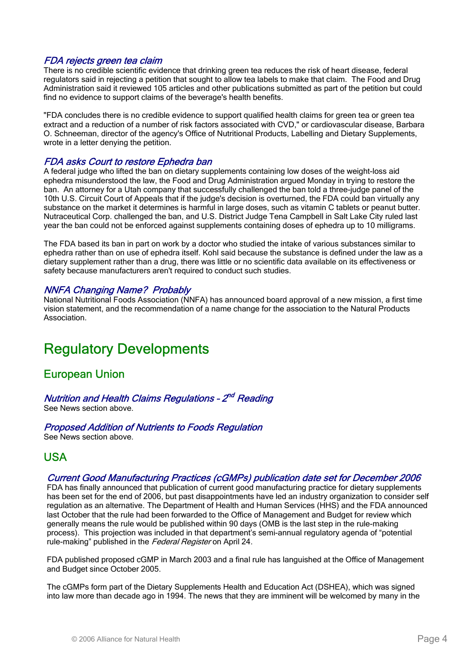#### FDA rejects green tea claim

There is no credible scientific evidence that drinking green tea reduces the risk of heart disease, federal regulators said in rejecting a petition that sought to allow tea labels to make that claim. The Food and Drug Administration said it reviewed 105 articles and other publications submitted as part of the petition but could find no evidence to support claims of the beverage's health benefits.

"FDA concludes there is no credible evidence to support qualified health claims for green tea or green tea extract and a reduction of a number of risk factors associated with CVD," or cardiovascular disease, Barbara O. Schneeman, director of the agency's Office of Nutritional Products, Labelling and Dietary Supplements, wrote in a letter denying the petition.

#### FDA asks Court to restore Ephedra ban

A federal judge who lifted the ban on dietary supplements containing low doses of the weight-loss aid ephedra misunderstood the law, the Food and Drug Administration argued Monday in trying to restore the ban. An attorney for a Utah company that successfully challenged the ban told a three-judge panel of the 10th U.S. Circuit Court of Appeals that if the judge's decision is overturned, the FDA could ban virtually any substance on the market it determines is harmful in large doses, such as vitamin C tablets or peanut butter. Nutraceutical Corp. challenged the ban, and U.S. District Judge Tena Campbell in Salt Lake City ruled last year the ban could not be enforced against supplements containing doses of ephedra up to 10 milligrams.

The FDA based its ban in part on work by a doctor who studied the intake of various substances similar to ephedra rather than on use of ephedra itself. Kohl said because the substance is defined under the law as a dietary supplement rather than a drug, there was little or no scientific data available on its effectiveness or safety because manufacturers aren't required to conduct such studies.

**NNFA Changing Name? Probably**<br>National Nutritional Foods Association (NNFA) has announced board approval of a new mission, a first time vision statement, and the recommendation of a name change for the association to the Natural Products Association.

## Regulatory Developments

### European Union

### Nutrition and Health Claims Regulations - 2<sup>nd</sup> Reading

See News section above.

#### Proposed Addition of Nutrients to Foods Regulation

See News section above.

### USA

#### Current Good Manufacturing Practices (cGMPs) publication date set for December 2006

FDA has finally announced that publication of current good manufacturing practice for dietary supplements has been set for the end of 2006, but past disappointments have led an industry organization to consider self regulation as an alternative. The Department of Health and Human Services (HHS) and the FDA announced last October that the rule had been forwarded to the Office of Management and Budget for review which generally means the rule would be published within 90 days (OMB is the last step in the rule-making process). This projection was included in that department's semi-annual regulatory agenda of "potential rule-making" published in the Federal Register on April 24.

FDA published proposed cGMP in March 2003 and a final rule has languished at the Office of Management and Budget since October 2005.

The cGMPs form part of the Dietary Supplements Health and Education Act (DSHEA), which was signed into law more than decade ago in 1994. The news that they are imminent will be welcomed by many in the